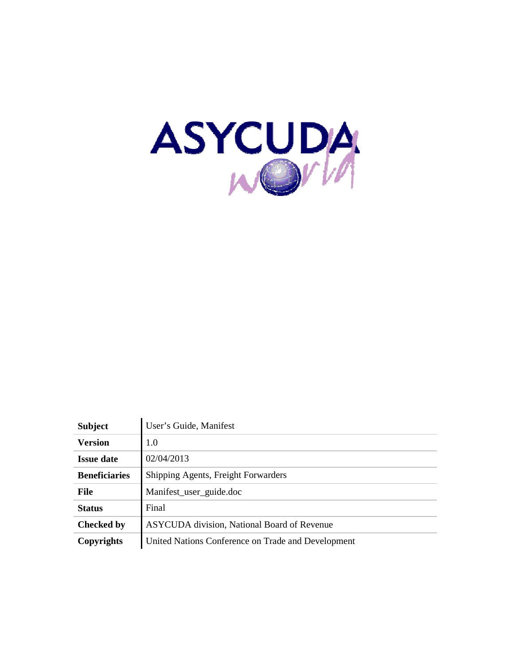

| <b>Subject</b>       | User's Guide, Manifest                             |
|----------------------|----------------------------------------------------|
| <b>Version</b>       | 1.0                                                |
| <b>Issue date</b>    | 02/04/2013                                         |
| <b>Beneficiaries</b> | Shipping Agents, Freight Forwarders                |
| <b>File</b>          | Manifest_user_guide.doc                            |
| <b>Status</b>        | Final                                              |
| <b>Checked by</b>    | <b>ASYCUDA</b> division, National Board of Revenue |
| Copyrights           | United Nations Conference on Trade and Development |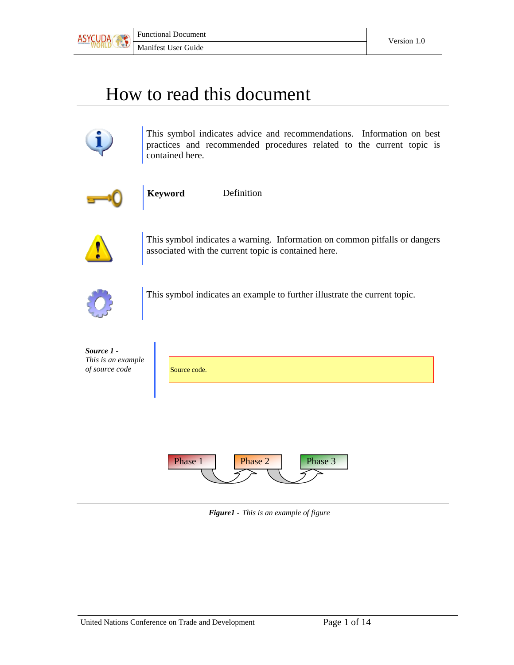

# How to read this document



This symbol indicates advice and recommendations. Information on best practices and recommended procedures related to the current topic is contained here.



**Keyword** Definition



This symbol indicates a warning. Information on common pitfalls or dangers associated with the current topic is contained here.



This symbol indicates an example to further illustrate the current topic.



*Figure1 - This is an example of figure*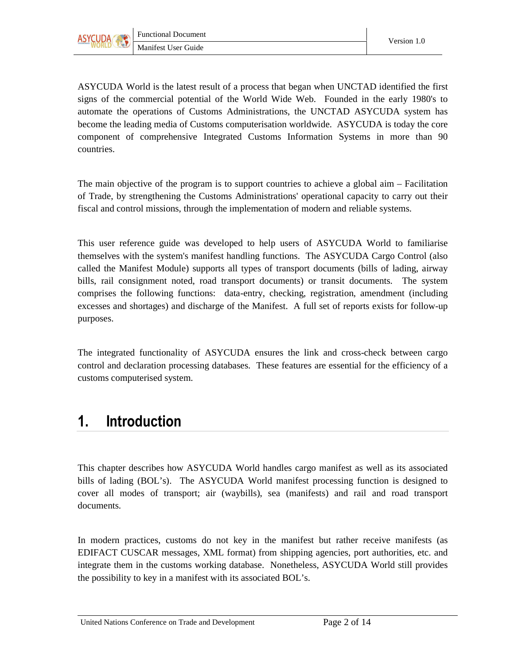

ASYCUDA World is the latest result of a process that began when UNCTAD identified the first signs of the commercial potential of the World Wide Web. Founded in the early 1980's to automate the operations of Customs Administrations, the UNCTAD ASYCUDA system has become the leading media of Customs computerisation worldwide. ASYCUDA is today the core component of comprehensive Integrated Customs Information Systems in more than 90 countries.

The main objective of the program is to support countries to achieve a global aim – Facilitation of Trade, by strengthening the Customs Administrations' operational capacity to carry out their fiscal and control missions, through the implementation of modern and reliable systems.

This user reference guide was developed to help users of ASYCUDA World to familiarise themselves with the system's manifest handling functions. The ASYCUDA Cargo Control (also called the Manifest Module) supports all types of transport documents (bills of lading, airway bills, rail consignment noted, road transport documents) or transit documents. The system comprises the following functions: data-entry, checking, registration, amendment (including excesses and shortages) and discharge of the Manifest. A full set of reports exists for follow-up purposes.

The integrated functionality of ASYCUDA ensures the link and cross-check between cargo control and declaration processing databases. These features are essential for the efficiency of a customs computerised system.

### 1. Introduction

This chapter describes how ASYCUDA World handles cargo manifest as well as its associated bills of lading (BOL's). The ASYCUDA World manifest processing function is designed to cover all modes of transport; air (waybills), sea (manifests) and rail and road transport documents.

In modern practices, customs do not key in the manifest but rather receive manifests (as EDIFACT CUSCAR messages, XML format) from shipping agencies, port authorities, etc. and integrate them in the customs working database. Nonetheless, ASYCUDA World still provides the possibility to key in a manifest with its associated BOL's.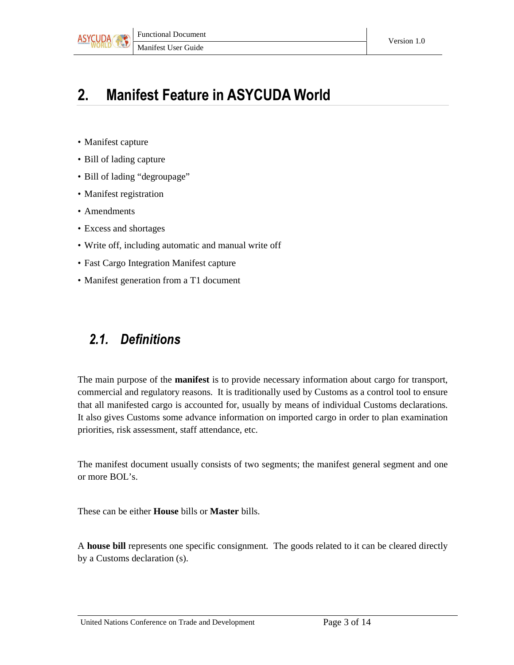

## 2. Manifest Feature in ASYCUDA World

- Manifest capture
- Bill of lading capture
- Bill of lading "degroupage"
- Manifest registration
- Amendments
- Excess and shortages
- Write off, including automatic and manual write off
- Fast Cargo Integration Manifest capture
- Manifest generation from a T1 document

### 2.1. Definitions

The main purpose of the **manifest** is to provide necessary information about cargo for transport, commercial and regulatory reasons. It is traditionally used by Customs as a control tool to ensure that all manifested cargo is accounted for, usually by means of individual Customs declarations. It also gives Customs some advance information on imported cargo in order to plan examination priorities, risk assessment, staff attendance, etc.

The manifest document usually consists of two segments; the manifest general segment and one or more BOL's.

These can be either **House** bills or **Master** bills.

A **house bill** represents one specific consignment. The goods related to it can be cleared directly by a Customs declaration (s).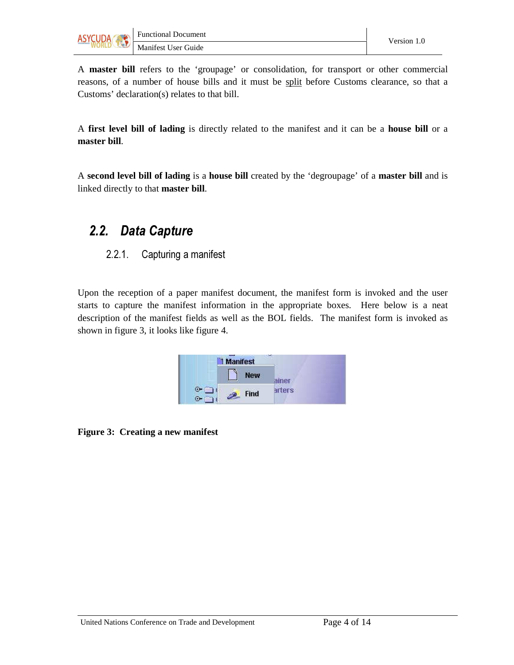

A **master bill** refers to the 'groupage' or consolidation, for transport or other commercial reasons, of a number of house bills and it must be split before Customs clearance, so that a Customs' declaration(s) relates to that bill.

A **first level bill of lading** is directly related to the manifest and it can be a **house bill** or a **master bill**.

A **second level bill of lading** is a **house bill** created by the 'degroupage' of a **master bill** and is linked directly to that **master bill**.

### 2.2. Data Capture

#### 2.2.1. Capturing a manifest

Upon the reception of a paper manifest document, the manifest form is invoked and the user starts to capture the manifest information in the appropriate boxes. Here below is a neat description of the manifest fields as well as the BOL fields. The manifest form is invoked as shown in figure 3, it looks like figure 4.

| <b>Manifest</b> | - -    |
|-----------------|--------|
| New             | ainer  |
| Find            | arters |

**Figure 3: Creating a new manifest**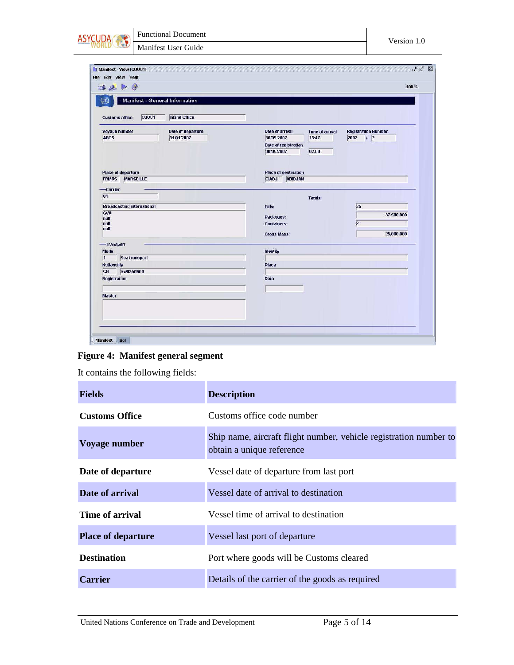

| 3200                                                                    |                                 |                                                                        |                                          | 100 %                                            |
|-------------------------------------------------------------------------|---------------------------------|------------------------------------------------------------------------|------------------------------------------|--------------------------------------------------|
| Manifest - General Information<br>ΛÌ                                    |                                 |                                                                        |                                          |                                                  |
| CUO <sub>01</sub><br><b>Customs office</b>                              | <b>Inland Office</b>            |                                                                        |                                          |                                                  |
| Voyage number<br>ABC5                                                   | Date of departure<br>31/01/2007 | Date of arrival<br>30/05/2007<br>Date of registration<br>30/05/2007    | <b>Time of arrival</b><br>15:47<br>02:00 | <b>Registration Number</b><br>$2007$ / 2         |
| Place of departure<br><b>FRMRS</b><br><b>MARSEILLE</b>                  |                                 | <b>Place of destination</b><br><b>CIABJ</b><br><b>ABIDJAN</b>          |                                          |                                                  |
| -Carrier<br> 01                                                         |                                 |                                                                        | <b>Totals</b>                            |                                                  |
| <b>Broadcasting international</b><br><b>GVA</b><br>null<br>null<br>hull |                                 | <b>Bills:</b><br>Packages:<br><b>Containers:</b><br><b>Gross Mass:</b> |                                          | 25<br>37,500.000<br>$\overline{2}$<br>25,000.000 |
| -Transport                                                              |                                 |                                                                        |                                          |                                                  |
| Mode                                                                    |                                 | Identity                                                               |                                          |                                                  |
| 1 <br>Sea transport<br><b>Nationality</b>                               |                                 | Place                                                                  |                                          |                                                  |
| CH<br>Switzerland                                                       |                                 |                                                                        |                                          |                                                  |
| <b>Registration</b>                                                     |                                 | Date                                                                   |                                          |                                                  |
| <b>Master</b>                                                           |                                 |                                                                        |                                          |                                                  |
|                                                                         |                                 |                                                                        |                                          |                                                  |



It contains the following fields:

| <b>Fields</b>             | <b>Description</b>                                                                             |
|---------------------------|------------------------------------------------------------------------------------------------|
| <b>Customs Office</b>     | Customs office code number                                                                     |
| Voyage number             | Ship name, aircraft flight number, vehicle registration number to<br>obtain a unique reference |
| Date of departure         | Vessel date of departure from last port                                                        |
| Date of arrival           | Vessel date of arrival to destination                                                          |
| Time of arrival           | Vessel time of arrival to destination                                                          |
| <b>Place of departure</b> | Vessel last port of departure                                                                  |
| <b>Destination</b>        | Port where goods will be Customs cleared                                                       |
| <b>Carrier</b>            | Details of the carrier of the goods as required                                                |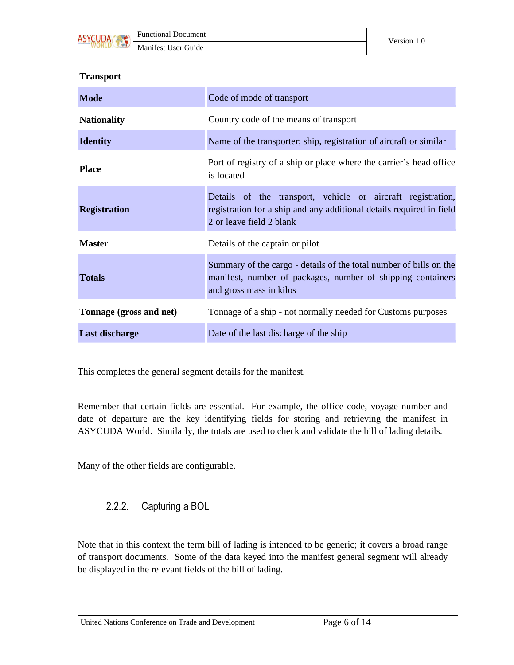

#### **Transport**

| <b>Mode</b>             | Code of mode of transport                                                                                                                                       |
|-------------------------|-----------------------------------------------------------------------------------------------------------------------------------------------------------------|
| <b>Nationality</b>      | Country code of the means of transport                                                                                                                          |
| <b>Identity</b>         | Name of the transporter; ship, registration of aircraft or similar                                                                                              |
| <b>Place</b>            | Port of registry of a ship or place where the carrier's head office<br>is located                                                                               |
| <b>Registration</b>     | Details of the transport, vehicle or aircraft registration,<br>registration for a ship and any additional details required in field<br>2 or leave field 2 blank |
| <b>Master</b>           | Details of the captain or pilot                                                                                                                                 |
| <b>Totals</b>           | Summary of the cargo - details of the total number of bills on the<br>manifest, number of packages, number of shipping containers<br>and gross mass in kilos    |
| Tonnage (gross and net) | Tonnage of a ship - not normally needed for Customs purposes                                                                                                    |
| <b>Last discharge</b>   | Date of the last discharge of the ship                                                                                                                          |

This completes the general segment details for the manifest.

Remember that certain fields are essential. For example, the office code, voyage number and date of departure are the key identifying fields for storing and retrieving the manifest in ASYCUDA World. Similarly, the totals are used to check and validate the bill of lading details.

Many of the other fields are configurable.

#### 2.2.2. Capturing a BOL

Note that in this context the term bill of lading is intended to be generic; it covers a broad range of transport documents. Some of the data keyed into the manifest general segment will already be displayed in the relevant fields of the bill of lading.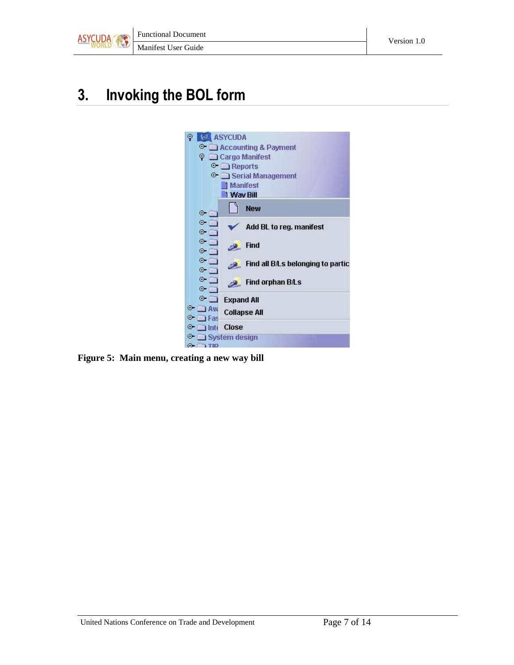

## 3. Invoking the BOL form



**Figure 5: Main menu, creating a new way bill**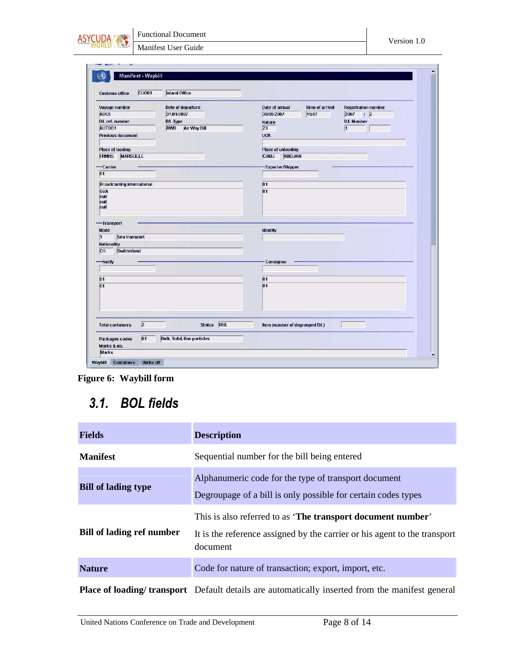

Manifest User Guide

| <b>CUO01</b><br><b>Customs office</b>                                                                                                                                                         | <b>Inland Office</b>               |                                           |                            |
|-----------------------------------------------------------------------------------------------------------------------------------------------------------------------------------------------|------------------------------------|-------------------------------------------|----------------------------|
| Voyage number                                                                                                                                                                                 | Date of departure                  | Date of arrival<br><b>Time of arrival</b> | <b>Registration number</b> |
| ABC5                                                                                                                                                                                          | 31/01/2007                         | 15:47<br>30/05/2007                       | $2007$ / 2                 |
| <b>BA</b> ref. number                                                                                                                                                                         | <b>BA</b> Type                     | <b>Nature</b>                             | <b>BA. Number</b>          |
| AUTOB1                                                                                                                                                                                        | <b>AWB</b><br>Air Way Bill         | 23                                        | $\vert$ 1                  |
| <b>Previous document</b>                                                                                                                                                                      |                                    | <b>UCR</b>                                |                            |
|                                                                                                                                                                                               |                                    |                                           |                            |
| <b>Place of loading</b>                                                                                                                                                                       |                                    | Place of unloading                        |                            |
| <b>FRMRS</b><br><b>MARSEILLE</b>                                                                                                                                                              |                                    | <b>ABIDJAN</b><br><b>CIABJ</b>            |                            |
| -Carrier                                                                                                                                                                                      |                                    | <b>Exporter/Shipper</b>                   |                            |
| 01                                                                                                                                                                                            |                                    |                                           |                            |
|                                                                                                                                                                                               |                                    |                                           |                            |
| <b>Broadcasting international</b>                                                                                                                                                             |                                    | 01                                        |                            |
| GVA                                                                                                                                                                                           |                                    | $\overline{01}$                           |                            |
|                                                                                                                                                                                               |                                    |                                           |                            |
|                                                                                                                                                                                               |                                    |                                           |                            |
|                                                                                                                                                                                               |                                    |                                           |                            |
|                                                                                                                                                                                               |                                    |                                           |                            |
|                                                                                                                                                                                               |                                    |                                           |                            |
|                                                                                                                                                                                               |                                    |                                           |                            |
|                                                                                                                                                                                               |                                    | <b>Identity</b>                           |                            |
| Sea transport                                                                                                                                                                                 |                                    |                                           |                            |
|                                                                                                                                                                                               |                                    |                                           |                            |
| Switzerland                                                                                                                                                                                   |                                    |                                           |                            |
|                                                                                                                                                                                               |                                    | Consignee                                 |                            |
|                                                                                                                                                                                               |                                    |                                           |                            |
|                                                                                                                                                                                               |                                    |                                           |                            |
|                                                                                                                                                                                               |                                    | 01                                        |                            |
|                                                                                                                                                                                               |                                    | $\overline{01}$                           |                            |
|                                                                                                                                                                                               |                                    |                                           |                            |
|                                                                                                                                                                                               |                                    |                                           |                            |
|                                                                                                                                                                                               |                                    |                                           |                            |
|                                                                                                                                                                                               |                                    |                                           |                            |
| null<br>null<br>null<br>-Transport<br><b>Mode</b><br>$\overline{1}$<br><b>Nationality</b><br>CH<br>-Notify<br>$\overline{01}$<br>$\overline{01}$<br>$\overline{2}$<br><b>Total containers</b> | Status HSE                         | Item (number of degrouped B/L)            |                            |
| 01<br><b>Packages codes</b>                                                                                                                                                                   | <b>Bulk, Solid, fine particles</b> |                                           |                            |

**Figure 6: Waybill form** 

### 3.1. BOL fields

| <b>Fields</b>              | <b>Description</b>                                                                                                                                   |
|----------------------------|------------------------------------------------------------------------------------------------------------------------------------------------------|
| <b>Manifest</b>            | Sequential number for the bill being entered                                                                                                         |
| <b>Bill of lading type</b> | Alphanumeric code for the type of transport document<br>Degroupage of a bill is only possible for certain codes types                                |
| Bill of lading ref number  | This is also referred to as 'The transport document number'<br>It is the reference assigned by the carrier or his agent to the transport<br>document |
| <b>Nature</b>              | Code for nature of transaction; export, import, etc.                                                                                                 |
|                            | <b>Place of loading/ transport</b> Default details are automatically inserted from the manifest general                                              |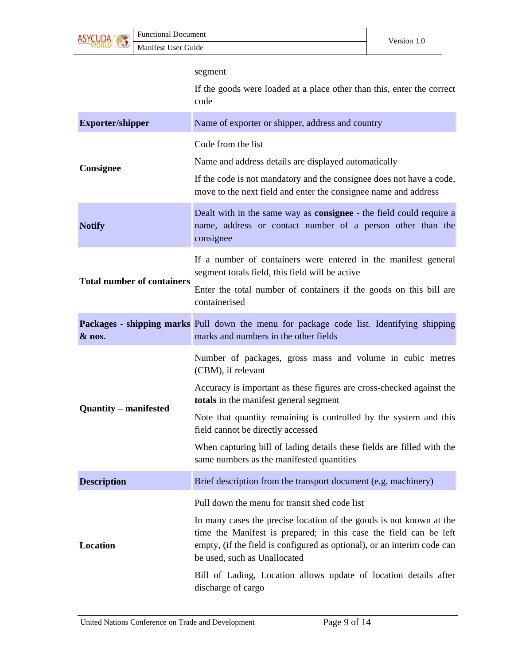

|                                   | segment                                                                                                                                                                                                                                             |
|-----------------------------------|-----------------------------------------------------------------------------------------------------------------------------------------------------------------------------------------------------------------------------------------------------|
|                                   | If the goods were loaded at a place other than this, enter the correct<br>code                                                                                                                                                                      |
| <b>Exporter/shipper</b>           | Name of exporter or shipper, address and country                                                                                                                                                                                                    |
|                                   | Code from the list                                                                                                                                                                                                                                  |
| Consignee                         | Name and address details are displayed automatically                                                                                                                                                                                                |
|                                   | If the code is not mandatory and the consignee does not have a code,<br>move to the next field and enter the consignee name and address                                                                                                             |
| <b>Notify</b>                     | Dealt with in the same way as <b>consignee</b> - the field could require a<br>name, address or contact number of a person other than the<br>consignee                                                                                               |
|                                   | If a number of containers were entered in the manifest general<br>segment totals field, this field will be active                                                                                                                                   |
| <b>Total number of containers</b> | Enter the total number of containers if the goods on this bill are<br>containerised                                                                                                                                                                 |
| & nos.                            | Packages - shipping marks Pull down the menu for package code list. Identifying shipping<br>marks and numbers in the other fields                                                                                                                   |
|                                   | Number of packages, gross mass and volume in cubic metres<br>(CBM), if relevant                                                                                                                                                                     |
| <b>Quantity – manifested</b>      | Accuracy is important as these figures are cross-checked against the<br>totals in the manifest general segment                                                                                                                                      |
|                                   | Note that quantity remaining is controlled by the system and this<br>field cannot be directly accessed                                                                                                                                              |
|                                   | When capturing bill of lading details these fields are filled with the<br>same numbers as the manifested quantities                                                                                                                                 |
| <b>Description</b>                | Brief description from the transport document (e.g. machinery)                                                                                                                                                                                      |
|                                   | Pull down the menu for transit shed code list                                                                                                                                                                                                       |
| Location                          | In many cases the precise location of the goods is not known at the<br>time the Manifest is prepared; in this case the field can be left<br>empty, (if the field is configured as optional), or an interim code can<br>be used, such as Unallocated |
|                                   | Bill of Lading, Location allows update of location details after<br>discharge of cargo                                                                                                                                                              |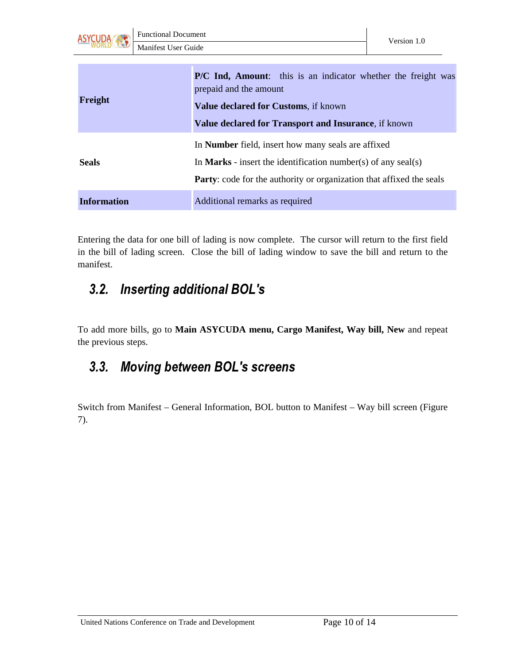

| Freight            | P/C Ind, Amount: this is an indicator whether the freight was<br>prepaid and the amount<br>Value declared for Customs, if known<br>Value declared for Transport and Insurance, if known                   |
|--------------------|-----------------------------------------------------------------------------------------------------------------------------------------------------------------------------------------------------------|
| <b>Seals</b>       | In <b>Number</b> field, insert how many seals are affixed<br>In <b>Marks</b> - insert the identification number(s) of any seal(s)<br>Party: code for the authority or organization that affixed the seals |
| <b>Information</b> | Additional remarks as required                                                                                                                                                                            |

Entering the data for one bill of lading is now complete. The cursor will return to the first field in the bill of lading screen. Close the bill of lading window to save the bill and return to the manifest.

### 3.2. Inserting additional BOL's

To add more bills, go to **Main ASYCUDA menu, Cargo Manifest, Way bill, New** and repeat the previous steps.

### 3.3. Moving between BOL's screens

Switch from Manifest – General Information, BOL button to Manifest – Way bill screen (Figure 7).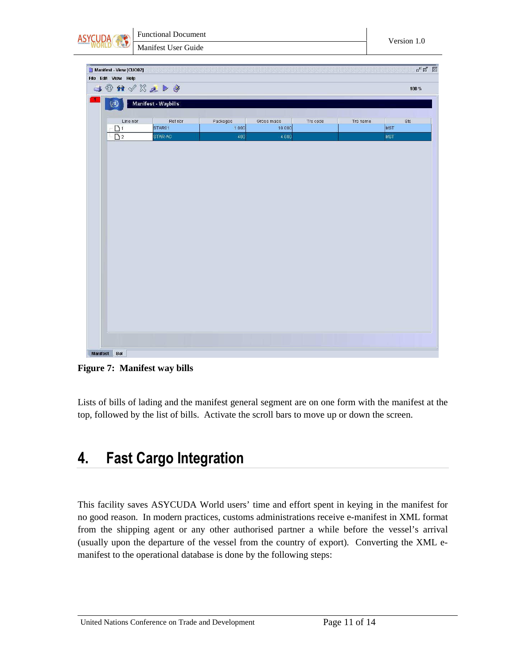|                         | <b>Functional Document</b>                                                                                                                                                                                                                                                                                                                                                                                                       |          |                      |          |          | Version 1.0                                                                          |
|-------------------------|----------------------------------------------------------------------------------------------------------------------------------------------------------------------------------------------------------------------------------------------------------------------------------------------------------------------------------------------------------------------------------------------------------------------------------|----------|----------------------|----------|----------|--------------------------------------------------------------------------------------|
|                         | Manifest User Guide                                                                                                                                                                                                                                                                                                                                                                                                              |          |                      |          |          |                                                                                      |
|                         |                                                                                                                                                                                                                                                                                                                                                                                                                                  |          |                      |          |          |                                                                                      |
| Manifest - View [CUO02] |                                                                                                                                                                                                                                                                                                                                                                                                                                  |          |                      |          |          | $\mathbf{r}_\mathbf{k}$ $\mathbf{r}_\mathbf{k}$ . $\overline{\mathbf{r}_\mathbf{k}}$ |
| File Edit View Help     | $\begin{array}{c} \textbf{1} & \textbf{0} & \textbf{1} & \textbf{1} & \textbf{1} & \textbf{1} & \textbf{1} & \textbf{1} & \textbf{1} & \textbf{1} & \textbf{1} & \textbf{1} & \textbf{1} & \textbf{1} & \textbf{1} & \textbf{1} & \textbf{1} & \textbf{1} & \textbf{1} & \textbf{1} & \textbf{1} & \textbf{1} & \textbf{1} & \textbf{1} & \textbf{1} & \textbf{1} & \textbf{1} & \textbf{1} & \textbf{1} & \textbf{1} & \textbf$ |          |                      |          |          | 100 %                                                                                |
|                         |                                                                                                                                                                                                                                                                                                                                                                                                                                  |          |                      |          |          |                                                                                      |
| $\left( 4\right)$       | Manifest - Waybills                                                                                                                                                                                                                                                                                                                                                                                                              |          |                      |          |          |                                                                                      |
| Line nbr                | Refnbr                                                                                                                                                                                                                                                                                                                                                                                                                           | Packages |                      | Trs code | Trs name | Sts                                                                                  |
| D <sub>1</sub>          | STAR01                                                                                                                                                                                                                                                                                                                                                                                                                           | 1000     | Gross mass<br>10 000 |          |          | MST                                                                                  |
| $\overline{\Box}$ 2     | STAR-AC                                                                                                                                                                                                                                                                                                                                                                                                                          | 400      | 4000                 |          |          | MST                                                                                  |
|                         |                                                                                                                                                                                                                                                                                                                                                                                                                                  |          |                      |          |          |                                                                                      |
|                         |                                                                                                                                                                                                                                                                                                                                                                                                                                  |          |                      |          |          |                                                                                      |
|                         |                                                                                                                                                                                                                                                                                                                                                                                                                                  |          |                      |          |          |                                                                                      |
|                         |                                                                                                                                                                                                                                                                                                                                                                                                                                  |          |                      |          |          |                                                                                      |
|                         |                                                                                                                                                                                                                                                                                                                                                                                                                                  |          |                      |          |          |                                                                                      |
|                         |                                                                                                                                                                                                                                                                                                                                                                                                                                  |          |                      |          |          |                                                                                      |
|                         |                                                                                                                                                                                                                                                                                                                                                                                                                                  |          |                      |          |          |                                                                                      |
|                         |                                                                                                                                                                                                                                                                                                                                                                                                                                  |          |                      |          |          |                                                                                      |
|                         |                                                                                                                                                                                                                                                                                                                                                                                                                                  |          |                      |          |          |                                                                                      |
|                         |                                                                                                                                                                                                                                                                                                                                                                                                                                  |          |                      |          |          |                                                                                      |
|                         |                                                                                                                                                                                                                                                                                                                                                                                                                                  |          |                      |          |          |                                                                                      |
|                         |                                                                                                                                                                                                                                                                                                                                                                                                                                  |          |                      |          |          |                                                                                      |
|                         |                                                                                                                                                                                                                                                                                                                                                                                                                                  |          |                      |          |          |                                                                                      |
|                         |                                                                                                                                                                                                                                                                                                                                                                                                                                  |          |                      |          |          |                                                                                      |
|                         |                                                                                                                                                                                                                                                                                                                                                                                                                                  |          |                      |          |          |                                                                                      |
|                         |                                                                                                                                                                                                                                                                                                                                                                                                                                  |          |                      |          |          |                                                                                      |
|                         |                                                                                                                                                                                                                                                                                                                                                                                                                                  |          |                      |          |          |                                                                                      |
|                         |                                                                                                                                                                                                                                                                                                                                                                                                                                  |          |                      |          |          |                                                                                      |
|                         |                                                                                                                                                                                                                                                                                                                                                                                                                                  |          |                      |          |          |                                                                                      |
|                         |                                                                                                                                                                                                                                                                                                                                                                                                                                  |          |                      |          |          |                                                                                      |
|                         |                                                                                                                                                                                                                                                                                                                                                                                                                                  |          |                      |          |          |                                                                                      |
|                         |                                                                                                                                                                                                                                                                                                                                                                                                                                  |          |                      |          |          |                                                                                      |
|                         |                                                                                                                                                                                                                                                                                                                                                                                                                                  |          |                      |          |          |                                                                                      |
|                         |                                                                                                                                                                                                                                                                                                                                                                                                                                  |          |                      |          |          |                                                                                      |
|                         |                                                                                                                                                                                                                                                                                                                                                                                                                                  |          |                      |          |          |                                                                                      |
|                         |                                                                                                                                                                                                                                                                                                                                                                                                                                  |          |                      |          |          |                                                                                      |
|                         |                                                                                                                                                                                                                                                                                                                                                                                                                                  |          |                      |          |          |                                                                                      |
|                         |                                                                                                                                                                                                                                                                                                                                                                                                                                  |          |                      |          |          |                                                                                      |
|                         |                                                                                                                                                                                                                                                                                                                                                                                                                                  |          |                      |          |          |                                                                                      |
|                         |                                                                                                                                                                                                                                                                                                                                                                                                                                  |          |                      |          |          |                                                                                      |
|                         |                                                                                                                                                                                                                                                                                                                                                                                                                                  |          |                      |          |          |                                                                                      |
|                         |                                                                                                                                                                                                                                                                                                                                                                                                                                  |          |                      |          |          |                                                                                      |
|                         |                                                                                                                                                                                                                                                                                                                                                                                                                                  |          |                      |          |          |                                                                                      |
|                         |                                                                                                                                                                                                                                                                                                                                                                                                                                  |          |                      |          |          |                                                                                      |
|                         |                                                                                                                                                                                                                                                                                                                                                                                                                                  |          |                      |          |          |                                                                                      |
|                         |                                                                                                                                                                                                                                                                                                                                                                                                                                  |          |                      |          |          |                                                                                      |
|                         |                                                                                                                                                                                                                                                                                                                                                                                                                                  |          |                      |          |          |                                                                                      |
|                         |                                                                                                                                                                                                                                                                                                                                                                                                                                  |          |                      |          |          |                                                                                      |
|                         |                                                                                                                                                                                                                                                                                                                                                                                                                                  |          |                      |          |          |                                                                                      |
|                         |                                                                                                                                                                                                                                                                                                                                                                                                                                  |          |                      |          |          |                                                                                      |
|                         |                                                                                                                                                                                                                                                                                                                                                                                                                                  |          |                      |          |          |                                                                                      |
|                         |                                                                                                                                                                                                                                                                                                                                                                                                                                  |          |                      |          |          |                                                                                      |
|                         |                                                                                                                                                                                                                                                                                                                                                                                                                                  |          |                      |          |          |                                                                                      |
|                         |                                                                                                                                                                                                                                                                                                                                                                                                                                  |          |                      |          |          |                                                                                      |
|                         |                                                                                                                                                                                                                                                                                                                                                                                                                                  |          |                      |          |          |                                                                                      |
|                         |                                                                                                                                                                                                                                                                                                                                                                                                                                  |          |                      |          |          |                                                                                      |
|                         |                                                                                                                                                                                                                                                                                                                                                                                                                                  |          |                      |          |          |                                                                                      |
|                         |                                                                                                                                                                                                                                                                                                                                                                                                                                  |          |                      |          |          |                                                                                      |
|                         |                                                                                                                                                                                                                                                                                                                                                                                                                                  |          |                      |          |          |                                                                                      |
|                         |                                                                                                                                                                                                                                                                                                                                                                                                                                  |          |                      |          |          |                                                                                      |
|                         |                                                                                                                                                                                                                                                                                                                                                                                                                                  |          |                      |          |          |                                                                                      |
| <b>Manifest</b><br>Bol  |                                                                                                                                                                                                                                                                                                                                                                                                                                  |          |                      |          |          |                                                                                      |

**Figure 7: Manifest way bills** 

Lists of bills of lading and the manifest general segment are on one form with the manifest at the top, followed by the list of bills. Activate the scroll bars to move up or down the screen.

## 4. Fast Cargo Integration

This facility saves ASYCUDA World users' time and effort spent in keying in the manifest for no good reason. In modern practices, customs administrations receive e-manifest in XML format from the shipping agent or any other authorised partner a while before the vessel's arrival (usually upon the departure of the vessel from the country of export). Converting the XML emanifest to the operational database is done by the following steps: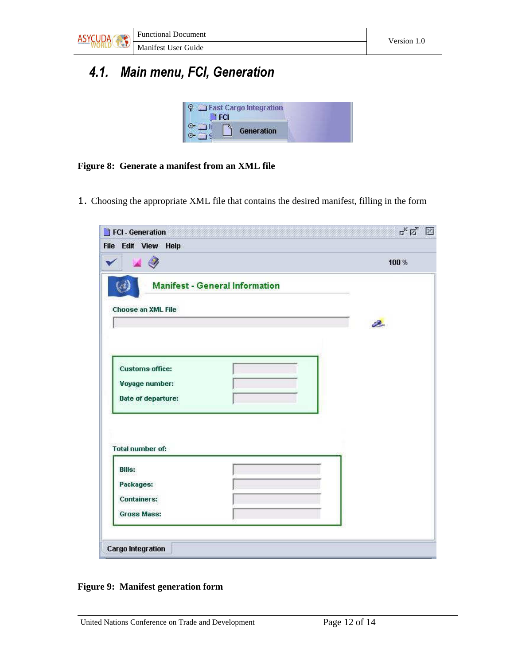

## 4.1. Main menu, FCI, Generation

| <b>Fast Cargo Integration</b> |  |
|-------------------------------|--|
| Generation                    |  |

#### **Figure 8: Generate a manifest from an XML file**

1. Choosing the appropriate XML file that contains the desired manifest, filling in the form

| File Edit View Help     |                                       |       |
|-------------------------|---------------------------------------|-------|
|                         |                                       | 100 % |
|                         | <b>Manifest - General Information</b> |       |
| Choose an XML File      |                                       |       |
|                         |                                       | Ø.    |
|                         |                                       |       |
|                         |                                       |       |
| <b>Customs office:</b>  |                                       |       |
| Voyage number:          |                                       |       |
|                         |                                       |       |
| Date of departure:      |                                       |       |
|                         |                                       |       |
|                         |                                       |       |
| <b>Total number of:</b> |                                       |       |
| <b>Bills:</b>           |                                       |       |
| Packages:               |                                       |       |
| <b>Containers:</b>      |                                       |       |

**Figure 9: Manifest generation form**